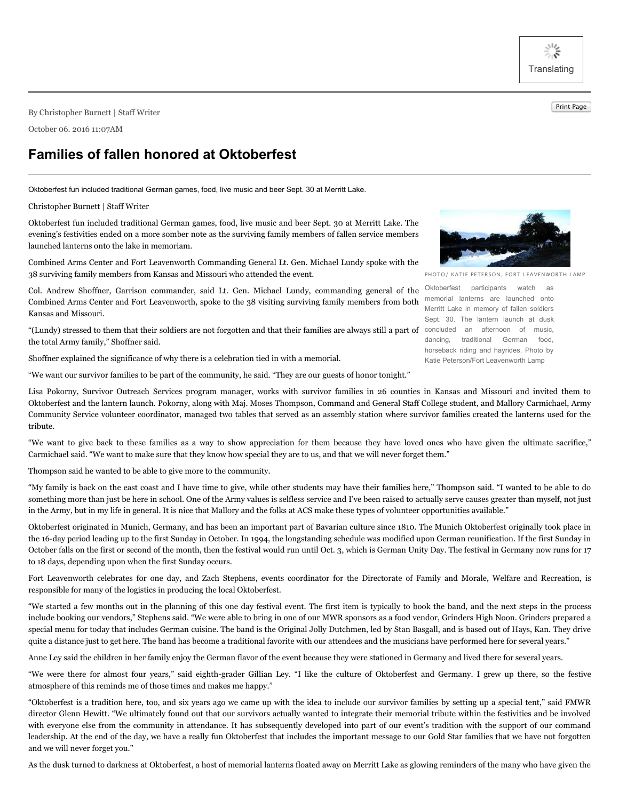兴 **Translating** 

Print Page By Christopher Burnett <sup>|</sup> Staff Writer

October 06. 2016 11:07AM

## **Families of fallen honored at Oktoberfest**

Oktoberfest fun included traditional German games, food, live music and beer Sept. 30 at Merritt Lake.

## Christopher Burnett | Staff Writer

Oktoberfest fun included traditional German games, food, live music and beer Sept. 30 at Merritt Lake. The evening's festivities ended on a more somber note as the surviving family members of fallen service members launched lanterns onto the lake in memoriam.

Combined Arms Center and Fort Leavenworth Commanding General Lt. Gen. Michael Lundy spoke with the 38 surviving family members from Kansas and Missouri who attended the event.

Col. Andrew Shoffner, Garrison commander, said Lt. Gen. Michael Lundy, commanding general of the Combined Arms Center and Fort Leavenworth, spoke to the 38 visiting surviving family members from both Kansas and Missouri.

"(Lundy) stressed to them that their soldiers are not forgotten and that their families are always still a part of concluded an afternoon of music, the total Army family," Shoffner said.

Shoffner explained the significance of why there is a celebration tied in with a memorial.

"We want our survivor families to be part of the community, he said. "They are our guests of honor tonight."

PHOTO/ KATIE PETERSON, FORT LEAVENWORTH LAMP

Oktoberfest participants watch as memorial lanterns are launched onto Merritt Lake in memory of fallen soldiers Sept. 30. The lantern launch at dusk dancing, traditional German food, horseback riding and hayrides. Photo by Katie Peterson/Fort Leavenworth Lamp

Lisa Pokorny, Survivor Outreach Services program manager, works with survivor families in 26 counties in Kansas and Missouri and invited them to Oktoberfest and the lantern launch. Pokorny, along with Maj. Moses Thompson, Command and General Staff College student, and Mallory Carmichael, Army Community Service volunteer coordinator, managed two tables that served as an assembly station where survivor families created the lanterns used for the tribute.

"We want to give back to these families as a way to show appreciation for them because they have loved ones who have given the ultimate sacrifice," Carmichael said. "We want to make sure that they know how special they are to us, and that we will never forget them."

Thompson said he wanted to be able to give more to the community.

"My family is back on the east coast and I have time to give, while other students may have their families here," Thompson said. "I wanted to be able to do something more than just be here in school. One of the Army values is selfless service and I've been raised to actually serve causes greater than myself, not just in the Army, but in my life in general. It is nice that Mallory and the folks at ACS make these types of volunteer opportunities available."

Oktoberfest originated in Munich, Germany, and has been an important part of Bavarian culture since 1810. The Munich Oktoberfest originally took place in the 16-day period leading up to the first Sunday in October. In 1994, the longstanding schedule was modified upon German reunification. If the first Sunday in October falls on the first or second of the month, then the festival would run until Oct. 3, which is German Unity Day. The festival in Germany now runs for 17 to 18 days, depending upon when the first Sunday occurs.

Fort Leavenworth celebrates for one day, and Zach Stephens, events coordinator for the Directorate of Family and Morale, Welfare and Recreation, is responsible for many of the logistics in producing the local Oktoberfest.

"We started a few months out in the planning of this one day festival event. The first item is typically to book the band, and the next steps in the process include booking our vendors," Stephens said. "We were able to bring in one of our MWR sponsors as a food vendor, Grinders High Noon. Grinders prepared a special menu for today that includes German cuisine. The band is the Original Jolly Dutchmen, led by Stan Basgall, and is based out of Hays, Kan. They drive quite a distance just to get here. The band has become a traditional favorite with our attendees and the musicians have performed here for several years."

Anne Ley said the children in her family enjoy the German flavor of the event because they were stationed in Germany and lived there for several years.

"We were there for almost four years," said eighth-grader Gillian Ley. "I like the culture of Oktoberfest and Germany. I grew up there, so the festive atmosphere of this reminds me of those times and makes me happy."

"Oktoberfest is a tradition here, too, and six years ago we came up with the idea to include our survivor families by setting up a special tent," said FMWR director Glenn Hewitt. "We ultimately found out that our survivors actually wanted to integrate their memorial tribute within the festivities and be involved with everyone else from the community in attendance. It has subsequently developed into part of our event's tradition with the support of our command leadership. At the end of the day, we have a really fun Oktoberfest that includes the important message to our Gold Star families that we have not forgotten and we will never forget you."

As the dusk turned to darkness at Oktoberfest, a host of memorial lanterns floated away on Merritt Lake as glowing reminders of the many who have given the